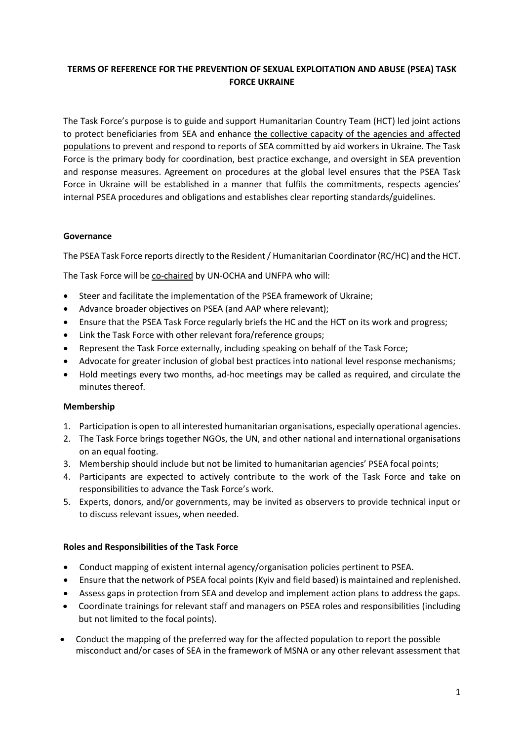# **TERMS OF REFERENCE FOR THE PREVENTION OF SEXUAL EXPLOITATION AND ABUSE (PSEA) TASK FORCE UKRAINE**

The Task Force's purpose is to guide and support Humanitarian Country Team (HCT) led joint actions to protect beneficiaries from SEA and enhance the collective capacity of the agencies and affected populations to prevent and respond to reports of SEA committed by aid workers in Ukraine. The Task Force is the primary body for coordination, best practice exchange, and oversight in SEA prevention and response measures. Agreement on procedures at the global level ensures that the PSEA Task Force in Ukraine will be established in a manner that fulfils the commitments, respects agencies' internal PSEA procedures and obligations and establishes clear reporting standards/guidelines.

## **Governance**

The PSEA Task Force reports directly to the Resident / Humanitarian Coordinator (RC/HC) and the HCT.

The Task Force will be co-chaired by UN-OCHA and UNFPA who will:

- Steer and facilitate the implementation of the PSEA framework of Ukraine;
- Advance broader objectives on PSEA (and AAP where relevant);
- Ensure that the PSEA Task Force regularly briefs the HC and the HCT on its work and progress;
- Link the Task Force with other relevant fora/reference groups;
- Represent the Task Force externally, including speaking on behalf of the Task Force;
- Advocate for greater inclusion of global best practices into national level response mechanisms;
- Hold meetings every two months, ad-hoc meetings may be called as required, and circulate the minutes thereof.

### **Membership**

- 1. Participation is open to all interested humanitarian organisations, especially operational agencies.
- 2. The Task Force brings together NGOs, the UN, and other national and international organisations on an equal footing.
- 3. Membership should include but not be limited to humanitarian agencies' PSEA focal points;
- 4. Participants are expected to actively contribute to the work of the Task Force and take on responsibilities to advance the Task Force's work.
- 5. Experts, donors, and/or governments, may be invited as observers to provide technical input or to discuss relevant issues, when needed.

### **Roles and Responsibilities of the Task Force**

- Conduct mapping of existent internal agency/organisation policies pertinent to PSEA.
- Ensure that the network of PSEA focal points (Kyiv and field based) is maintained and replenished.
- Assess gaps in protection from SEA and develop and implement action plans to address the gaps.
- Coordinate trainings for relevant staff and managers on PSEA roles and responsibilities (including but not limited to the focal points).
- Conduct the mapping of the preferred way for the affected population to report the possible misconduct and/or cases of SEA in the framework of MSNA or any other relevant assessment that